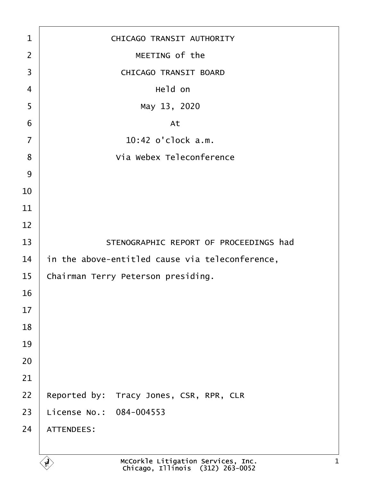| 1              | <b>CHICAGO TRANSIT AUTHORITY</b>                |
|----------------|-------------------------------------------------|
| $\overline{2}$ | MEETING of the                                  |
| 3              | <b>CHICAGO TRANSIT BOARD</b>                    |
| 4              | Held on                                         |
| 5              | May 13, 2020                                    |
| 6              | At                                              |
| $\overline{7}$ | 10:42 o'clock a.m.                              |
| 8              | Via Webex Teleconference                        |
| 9              |                                                 |
| 10             |                                                 |
| 11             |                                                 |
| 12             |                                                 |
| 13             | STENOGRAPHIC REPORT OF PROCEEDINGS had          |
| 14             | in the above-entitled cause via teleconference, |
| 15             | Chairman Terry Peterson presiding.              |
| 16             |                                                 |
| 17             |                                                 |
| 18             |                                                 |
| 19             |                                                 |
| 20             |                                                 |
| 21             |                                                 |
| 22             | Reported by: Tracy Jones, CSR, RPR, CLR         |
| 23             | License No.: 084-004553                         |
| 24             | <b>ATTENDEES:</b>                               |
|                |                                                 |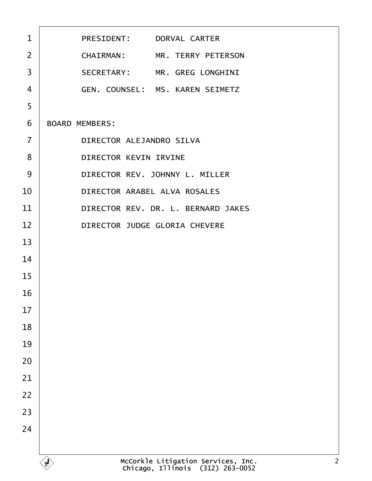| $\mathbf{1}$   | PRESIDENT: DORVAL CARTER           |
|----------------|------------------------------------|
| $\overline{2}$ | CHAIRMAN: MR. TERRY PETERSON       |
| 3              | SECRETARY: MR. GREG LONGHINI       |
| $\overline{4}$ | GEN. COUNSEL: MS. KAREN SEIMETZ    |
| 5              |                                    |
| 6              | <b>BOARD MEMBERS:</b>              |
| $\overline{7}$ | DIRECTOR ALEJANDRO SILVA           |
| 8              | <b>DIRECTOR KEVIN IRVINE</b>       |
| 9              | DIRECTOR REV. JOHNNY L. MILLER     |
| 10             | DIRECTOR ARABEL ALVA ROSALES       |
| 11             | DIRECTOR REV. DR. L. BERNARD JAKES |
| 12             | DIRECTOR JUDGE GLORIA CHEVERE      |
| 13             |                                    |
| 14             |                                    |
| 15             |                                    |
| 16             |                                    |
| 17             |                                    |
| 18             |                                    |
| 19             |                                    |
| $20\,$         |                                    |
| 21             |                                    |
| 22             |                                    |
| 23             |                                    |
| 24             |                                    |
|                |                                    |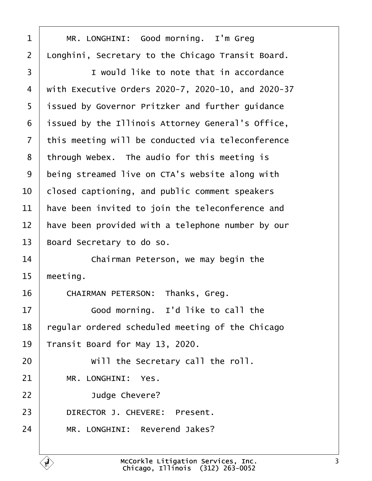<span id="page-2-0"></span>

| 1              | MR. LONGHINI: Good morning. I'm Greg               |
|----------------|----------------------------------------------------|
| $\overline{2}$ | Longhini, Secretary to the Chicago Transit Board.  |
| 3              | I would like to note that in accordance            |
| 4              | with Executive Orders 2020-7, 2020-10, and 2020-37 |
| 5              | issued by Governor Pritzker and further guidance   |
| 6              | issued by the Illinois Attorney General's Office,  |
| 7              | this meeting will be conducted via teleconference  |
| 8              | through Webex. The audio for this meeting is       |
| 9              | being streamed live on CTA's website along with    |
| 10             | closed captioning, and public comment speakers     |
| 11             | have been invited to join the teleconference and   |
| 12             | have been provided with a telephone number by our  |
| 13             | Board Secretary to do so.                          |
| 14             | Chairman Peterson, we may begin the                |
| 15             | meeting.                                           |
| 16             | CHAIRMAN PETERSON: Thanks, Greg.                   |
| 17             | Good morning. I'd like to call the                 |
| 18             | egular ordered scheduled meeting of the Chicago    |
|                |                                                    |
| 19             | Transit Board for May 13, 2020.                    |
| 20             | Will the Secretary call the roll.                  |
| 21             | MR. LONGHINI: Yes.                                 |
| 22             | Judge Chevere?                                     |
| 23             | DIRECTOR J. CHEVERE: Present.                      |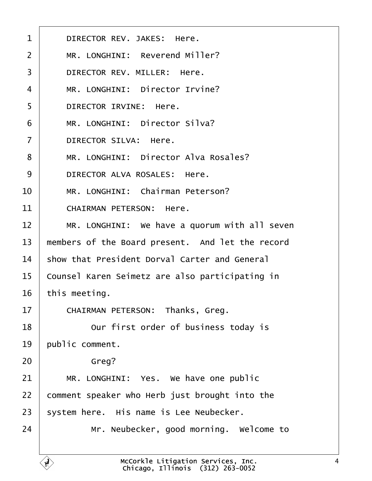<span id="page-3-0"></span>

| 1              | DIRECTOR REV. JAKES: Here.                       |
|----------------|--------------------------------------------------|
| $\overline{2}$ | MR. LONGHINI: Reverend Miller?                   |
| 3              | DIRECTOR REV. MILLER: Here.                      |
| 4              | MR. LONGHINI: Director Irvine?                   |
| 5              | DIRECTOR IRVINE: Here.                           |
| 6              | MR. LONGHINI: Director Silva?                    |
| $\overline{7}$ | <b>DIRECTOR SILVA: Here.</b>                     |
| 8              | MR. LONGHINI: Director Alva Rosales?             |
| 9              | DIRECTOR ALVA ROSALES: Here.                     |
| 10             | MR. LONGHINI: Chairman Peterson?                 |
| 11             | <b>CHAIRMAN PETERSON: Here.</b>                  |
| 12             | MR. LONGHINI: We have a quorum with all seven    |
| 13             | members of the Board present. And let the record |
| 14             | show that President Dorval Carter and General    |
| 15             | Counsel Karen Seimetz are also participating in  |
| 16             | this meeting.                                    |
| 17             | <b>CHAIRMAN PETERSON: Thanks, Greg.</b>          |
| 18             | Our first order of business today is             |
| 19             | public comment.                                  |
| 20             | Greg?                                            |
| 21             | MR. LONGHINI: Yes. We have one public            |
| 22             | comment speaker who Herb just brought into the   |
| 23             | system here. His name is Lee Neubecker.          |
| 24             | Mr. Neubecker, good morning. Welcome to          |
|                |                                                  |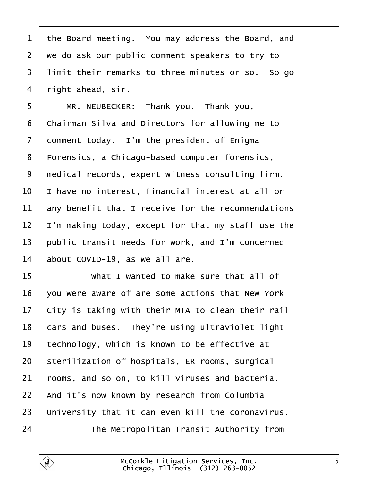<span id="page-4-0"></span>

| 1  | the Board meeting. You may address the Board, and  |
|----|----------------------------------------------------|
| 2  | we do ask our public comment speakers to try to    |
| 3  | limit their remarks to three minutes or so. So go  |
| 4  | right ahead, sir.                                  |
| 5  | MR. NEUBECKER: Thank you. Thank you,               |
| 6  | Chairman Silva and Directors for allowing me to    |
| 7  | domment today. I'm the president of Enigma         |
| 8  | Forensics, a Chicago-based computer forensics,     |
| 9  | medical records, expert witness consulting firm.   |
| 10 | have no interest, financial interest at all or     |
| 11 | any benefit that I receive for the recommendations |
| 12 | 'm making today, except for that my staff use the  |
| 13 | public transit needs for work, and I'm concerned   |
| 14 | about COVID-19, as we all are.                     |
| 15 | What I wanted to make sure that all of             |
| 16 | you were aware of are some actions that New York   |
| 17 | City is taking with their MTA to clean their rail  |
| 18 | cars and buses. They're using ultraviolet light    |
| 19 | technology, which is known to be effective at      |
| 20 | sterilization of hospitals, ER rooms, surgical     |
| 21 | rooms, and so on, to kill viruses and bacteria.    |
| 22 | And it's now known by research from Columbia       |
| 23 | University that it can even kill the coronavirus.  |
| 24 | The Metropolitan Transit Authority from            |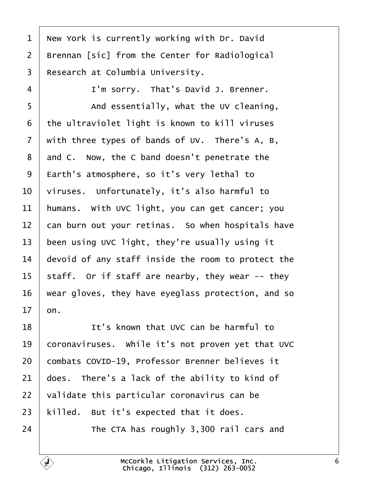<span id="page-5-0"></span>

| 1              | New York is currently working with Dr. David       |
|----------------|----------------------------------------------------|
| $\overline{2}$ | Brennan [sic] from the Center for Radiological     |
| 3              | Research at Columbia University.                   |
| 4              | I'm sorry. That's David J. Brenner.                |
| 5              | And essentially, what the UV cleaning,             |
| 6              | the ultraviolet light is known to kill viruses     |
| 7              | with three types of bands of UV. There's A, B,     |
| 8              | and C. Now, the C band doesn't penetrate the       |
| 9              | Earth's atmosphere, so it's very lethal to         |
| 10             | viruses. Unfortunately, it's also harmful to       |
| 11             | humans. With UVC light, you can get cancer; you    |
| 12             | can burn out your retinas. So when hospitals have  |
| 13             | been using UVC light, they're usually using it     |
| 14             | devoid of any staff inside the room to protect the |
| 15             | staff. Or if staff are nearby, they wear -- they   |
| 16             | wear gloves, they have eyeglass protection, and so |
| 17             | on.                                                |
| 18             | It's known that UVC can be harmful to              |
| 19             | coronaviruses. While it's not proven yet that UVC  |
| 20             | combats COVID-19, Professor Brenner believes it    |
| 21             | does. There's a lack of the ability to kind of     |
| 22             | validate this particular coronavirus can be        |
| 23             | killed. But it's expected that it does.            |
| 24             | The CTA has roughly 3,300 rail cars and            |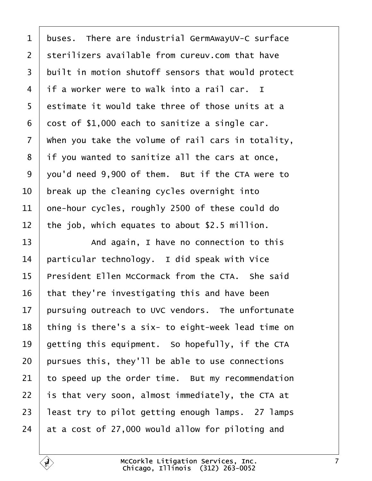<span id="page-6-0"></span>

|  |  | 1 buses. There are industrial GermAwayUV-C surface |
|--|--|----------------------------------------------------|
|--|--|----------------------------------------------------|

- 2 sterilizers available from cureuv.com that have
- 3 built in motion shutoff sensors that would protect
- 4 if a worker were to walk into a rail car. I
- 5 destimate it would take three of those units at a
- 6 dost of \$1,000 each to sanitize a single car.
- 7 When you take the volume of rail cars in totality,
- 8 if you wanted to sanitize all the cars at once,
- 9 you'd need 9,900 of them. But if the CTA were to
- 10 break up the cleaning cycles overnight into
- 11 one-hour cycles, roughly 2500 of these could do
- 12 the job, which equates to about \$2.5 million.
- 13 And again, I have no connection to this
- 14 **particular technology.** I did speak with Vice
- 15 President Ellen McCormack from the CTA. She said
- 16 that they're investigating this and have been
- 17 bursuing outreach to UVC vendors. The unfortunate
- 18 thing is there's a six- to eight-week lead time on
- 19 detting this equipment. So hopefully, if the CTA
- 20 bursues this, they'll be able to use connections
- 21 to speed up the order time. But my recommendation
- 22 is that very soon, almost immediately, the CTA at
- 23 least try to pilot getting enough lamps. 27 lamps
- 24  $\alpha$  at a cost of 27,000 would allow for piloting and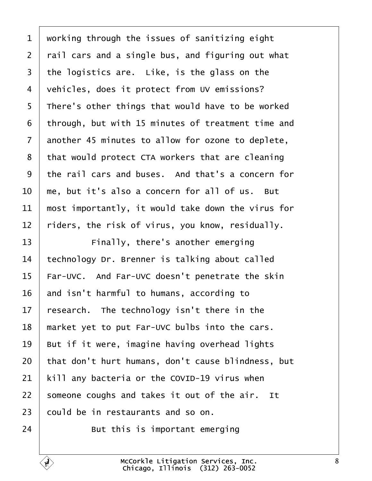<span id="page-7-0"></span>

| 1              | working through the issues of sanitizing eight     |
|----------------|----------------------------------------------------|
| $\overline{2}$ | rail cars and a single bus, and figuring out what  |
| 3              | the logistics are. Like, is the glass on the       |
| 4              | vehicles, does it protect from UV emissions?       |
| 5              | There's other things that would have to be worked  |
| 6              | through, but with 15 minutes of treatment time and |
| $\overline{7}$ | another 45 minutes to allow for ozone to deplete,  |
| 8              | that would protect CTA workers that are cleaning   |
| 9              | the rail cars and buses. And that's a concern for  |
| 10             | me, but it's also a concern for all of us. But     |
| 11             | most importantly, it would take down the virus for |
| 12             | riders, the risk of virus, you know, residually.   |
| 13             | Finally, there's another emerging                  |
| 14             | echnology Dr. Brenner is talking about called      |
| 15             | Far-UVC. And Far-UVC doesn't penetrate the skin    |
| 16             | and isn't harmful to humans, according to          |
| 17             | research. The technology isn't there in the        |
| 18             | market yet to put Far-UVC bulbs into the cars.     |
| 19             | But if it were, imagine having overhead lights     |
| 20             | that don't hurt humans, don't cause blindness, but |
| 21             | kill any bacteria or the COVID-19 virus when       |
| 22             | someone coughs and takes it out of the air. It     |
| 23             | could be in restaurants and so on.                 |
| 24             | But this is important emerging                     |

 $\Gamma$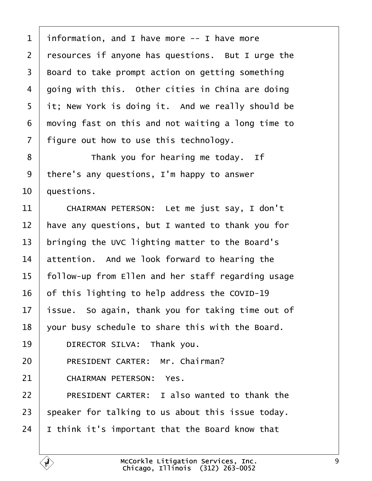<span id="page-8-0"></span>

| 1              | information, and I have more -- I have more         |
|----------------|-----------------------------------------------------|
| $\overline{2}$ | resources if anyone has questions. But I urge the   |
| 3              | Board to take prompt action on getting something    |
| 4              | going with this. Other cities in China are doing    |
| 5              | it; New York is doing it. And we really should be   |
| 6              | moving fast on this and not waiting a long time to  |
| 7              | figure out how to use this technology.              |
| 8              | Thank you for hearing me today. If                  |
| 9              | there's any questions, I'm happy to answer          |
| 10             | questions.                                          |
| 11             | CHAIRMAN PETERSON: Let me just say, I don't         |
| 12             | have any questions, but I wanted to thank you for   |
| 13             | bringing the UVC lighting matter to the Board's     |
| 14             | attention. And we look forward to hearing the       |
| 15             | follow-up from Ellen and her staff regarding usage  |
| 16             | of this lighting to help address the COVID-19       |
| 17             | issue. So again, thank you for taking time out of   |
| 18             | your busy schedule to share this with the Board.    |
| 19             | DIRECTOR SILVA: Thank you.                          |
| 20             | PRESIDENT CARTER: Mr. Chairman?                     |
| 21             | <b>CHAIRMAN PETERSON: Yes.</b>                      |
| 22             | <b>PRESIDENT CARTER: I also wanted to thank the</b> |
| 23             | speaker for talking to us about this issue today.   |
| 24             | think it's important that the Board know that       |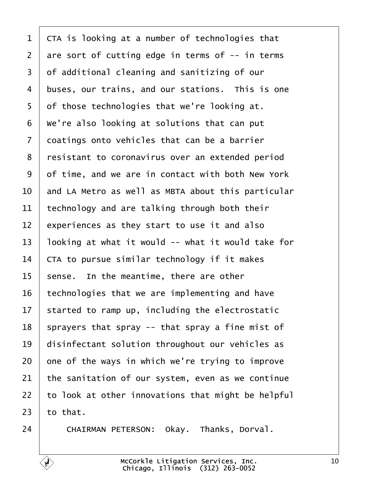<span id="page-9-0"></span>

| 1  | CTA is looking at a number of technologies that    |
|----|----------------------------------------------------|
| 2  | are sort of cutting edge in terms of -- in terms   |
| 3  | of additional cleaning and sanitizing of our       |
| 4  | buses, our trains, and our stations. This is one   |
| 5  | of those technologies that we're looking at.       |
| 6  | We're also looking at solutions that can put       |
| 7  | doatings onto vehicles that can be a barrier       |
| 8  | resistant to coronavirus over an extended period   |
| 9  | of time, and we are in contact with both New York  |
| 10 | and LA Metro as well as MBTA about this particular |
| 11 | technology and are talking through both their      |
| 12 | experiences as they start to use it and also       |
| 13 | looking at what it would -- what it would take for |
| 14 | CTA to pursue similar technology if it makes       |
| 15 | sense. In the meantime, there are other            |
| 16 | technologies that we are implementing and have     |
| 17 | started to ramp up, including the electrostatic    |
| 18 | sprayers that spray -- that spray a fine mist of   |
| 19 | disinfectant solution throughout our vehicles as   |
| 20 | one of the ways in which we're trying to improve   |
| 21 | the sanitation of our system, even as we continue  |
| 22 | to look at other innovations that might be helpful |
| 23 | to that.                                           |
| 24 | CHAIRMAN PETERSON: Okay. Thanks, Dorval.           |
|    |                                                    |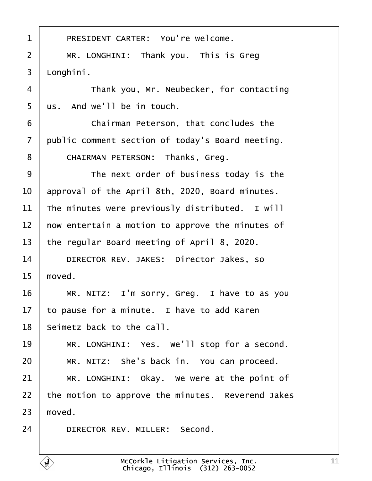<span id="page-10-0"></span>

| 1              | PRESIDENT CARTER: You're welcome.                 |
|----------------|---------------------------------------------------|
| $\overline{2}$ | MR. LONGHINI: Thank you. This is Greg             |
| 3              | Longhini.                                         |
| 4              | Thank you, Mr. Neubecker, for contacting          |
| 5              | us. And we'll be in touch.                        |
| 6              | Chairman Peterson, that concludes the             |
| 7              | public comment section of today's Board meeting.  |
| 8              | CHAIRMAN PETERSON: Thanks, Greg.                  |
| 9              | The next order of business today is the           |
| 10             | approval of the April 8th, 2020, Board minutes.   |
| 11             | The minutes were previously distributed. I will   |
| 12             | how entertain a motion to approve the minutes of  |
| 13             | the regular Board meeting of April 8, 2020.       |
| 14             | DIRECTOR REV. JAKES: Director Jakes, so           |
| 15             | moved.                                            |
| 16             | MR. NITZ: I'm sorry, Greg. I have to as you       |
| 17             | to pause for a minute. I have to add Karen        |
| 18             | Seimetz back to the call.                         |
| 19             | MR. LONGHINI: Yes. We'll stop for a second.       |
| 20             | MR. NITZ: She's back in. You can proceed.         |
| 21             | MR. LONGHINI: Okay. We were at the point of       |
| 22             | the motion to approve the minutes. Reverend Jakes |
| 23             | moved.                                            |
| 24             | DIRECTOR REV. MILLER: Second.                     |
|                |                                                   |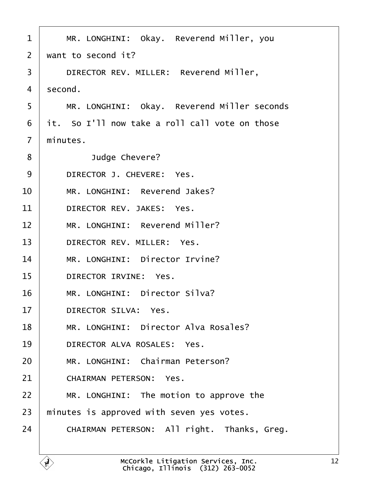<span id="page-11-0"></span>

| $\mathbf 1$    | MR. LONGHINI: Okay. Reverend Miller, you       |
|----------------|------------------------------------------------|
| 2              | want to second it?                             |
| 3              | DIRECTOR REV. MILLER: Reverend Miller,         |
| 4              | second.                                        |
| 5              | MR. LONGHINI: Okay. Reverend Miller seconds    |
| 6              | it. So I'll now take a roll call vote on those |
| $\overline{7}$ | minutes.                                       |
| 8              | Judge Chevere?                                 |
| 9              | DIRECTOR J. CHEVERE: Yes.                      |
| 10             | MR. LONGHINI: Reverend Jakes?                  |
| 11             | DIRECTOR REV. JAKES: Yes.                      |
| 12             | MR. LONGHINI: Reverend Miller?                 |
| 13             | DIRECTOR REV. MILLER: Yes.                     |
| 14             | MR. LONGHINI: Director Irvine?                 |
| 15             | <b>DIRECTOR IRVINE: Yes.</b>                   |
| 16             | MR. LONGHINI: Director Silva?                  |
| 17             | <b>DIRECTOR SILVA: Yes.</b>                    |
| 18             | MR. LONGHINI: Director Alva Rosales?           |
| 19             | DIRECTOR ALVA ROSALES: Yes.                    |
| 20             | MR. LONGHINI: Chairman Peterson?               |
| 21             | <b>CHAIRMAN PETERSON: Yes.</b>                 |
| 22             | MR. LONGHINI: The motion to approve the        |
| 23             | minutes is approved with seven yes votes.      |
| 24             | CHAIRMAN PETERSON: All right. Thanks, Greg.    |
|                |                                                |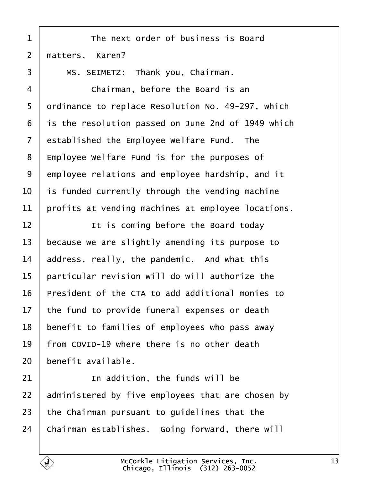<span id="page-12-0"></span>

| 1               | The next order of business is Board                 |
|-----------------|-----------------------------------------------------|
| $\overline{2}$  | matters. Karen?                                     |
| 3               | MS. SEIMETZ: Thank you, Chairman.                   |
| 4               | Chairman, before the Board is an                    |
| 5               | drdinance to replace Resolution No. 49-297, which   |
| 6               | is the resolution passed on June 2nd of 1949 which  |
| 7               | established the Employee Welfare Fund. The          |
| 8               | <b>Employee Welfare Fund is for the purposes of</b> |
| 9               | employee relations and employee hardship, and it    |
| 10              | is funded currently through the vending machine     |
| 11              | profits at vending machines at employee locations.  |
| 12              | It is coming before the Board today                 |
| 13              | because we are slightly amending its purpose to     |
| 14              | address, really, the pandemic. And what this        |
| 15              | particular revision will do will authorize the      |
| 16              | President of the CTA to add additional monies to    |
| 17 <sub>1</sub> | the fund to provide funeral expenses or death       |
| 18              | benefit to families of employees who pass away      |
| 19              | from COVID-19 where there is no other death         |
| 20              | benefit available.                                  |
| 21              | In addition, the funds will be                      |
| 22              | administered by five employees that are chosen by   |
| 23              | the Chairman pursuant to guidelines that the        |
| 24              | Chairman establishes. Going forward, there will     |
|                 |                                                     |

 $\overline{\Gamma}$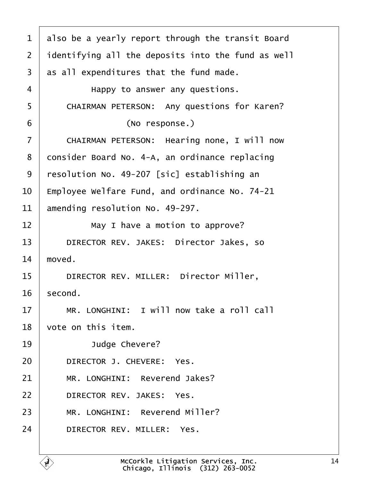<span id="page-13-0"></span>

| 1  | also be a yearly report through the transit Board  |
|----|----------------------------------------------------|
| 2  | identifying all the deposits into the fund as well |
| 3  | as all expenditures that the fund made.            |
| 4  | Happy to answer any questions.                     |
| 5  | <b>CHAIRMAN PETERSON: Any questions for Karen?</b> |
| 6  | (No response.)                                     |
| 7  | CHAIRMAN PETERSON: Hearing none, I will now        |
| 8  | donsider Board No. 4-A, an ordinance replacing     |
| 9  | resolution No. 49-207 [sic] establishing an        |
| 10 | Employee Welfare Fund, and ordinance No. 74-21     |
| 11 | amending resolution No. 49-297.                    |
| 12 | May I have a motion to approve?                    |
| 13 | DIRECTOR REV. JAKES: Director Jakes, so            |
| 14 | moved.                                             |
| 15 | DIRECTOR REV. MILLER: Director Miller,             |
| 16 | second.                                            |
| 17 | MR. LONGHINI: I will now take a roll call          |
| 18 | vote on this item.                                 |
| 19 | Judge Chevere?                                     |
| 20 | DIRECTOR J. CHEVERE: Yes.                          |
| 21 | MR. LONGHINI: Reverend Jakes?                      |
| 22 | DIRECTOR REV. JAKES: Yes.                          |
| 23 | MR. LONGHINI: Reverend Miller?                     |
| 24 | DIRECTOR REV. MILLER: Yes.                         |
|    |                                                    |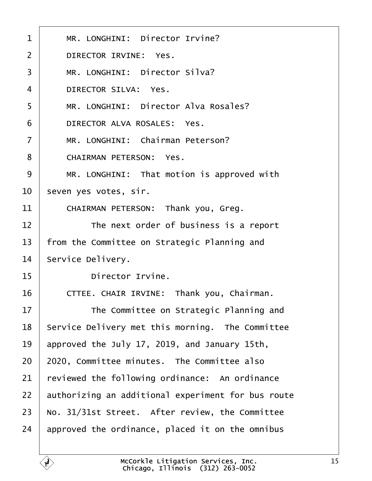<span id="page-14-0"></span>

| 1              | MR. LONGHINI: Director Irvine?                     |  |
|----------------|----------------------------------------------------|--|
| $\overline{2}$ | <b>DIRECTOR IRVINE: Yes.</b>                       |  |
| 3              | MR. LONGHINI: Director Silva?                      |  |
| $\overline{4}$ | <b>DIRECTOR SILVA: Yes.</b>                        |  |
| 5              | MR. LONGHINI: Director Alva Rosales?               |  |
| 6              | DIRECTOR ALVA ROSALES: Yes.                        |  |
| $\overline{7}$ | MR. LONGHINI: Chairman Peterson?                   |  |
| 8              | <b>CHAIRMAN PETERSON: Yes.</b>                     |  |
| 9              | MR. LONGHINI: That motion is approved with         |  |
| 10             | seven yes votes, sir.                              |  |
| 11             | CHAIRMAN PETERSON: Thank you, Greg.                |  |
| 12             | The next order of business is a report             |  |
| 13             | from the Committee on Strategic Planning and       |  |
| 14             | Service Delivery.                                  |  |
| 15             | Director Irvine.                                   |  |
| 16             | CTTEE. CHAIR IRVINE: Thank you, Chairman.          |  |
| 17             | The Committee on Strategic Planning and            |  |
| 18             | Service Delivery met this morning. The Committee   |  |
| 19             | approved the July 17, 2019, and January 15th,      |  |
| 20             | 2020, Committee minutes. The Committee also        |  |
| 21             | reviewed the following ordinance: An ordinance     |  |
| 22             | authorizing an additional experiment for bus route |  |
| 23             | No. 31/31st Street. After review, the Committee    |  |
| 24             | approved the ordinance, placed it on the omnibus   |  |
|                |                                                    |  |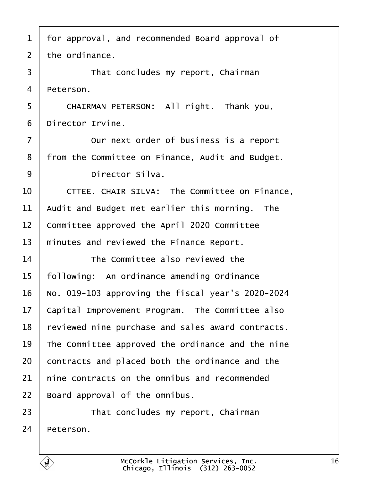- <span id="page-15-0"></span>1 for approval, and recommended Board approval of
- 2 the ordinance.
- 3 **That concludes my report, Chairman**
- 4 **Peterson.**
- 5 | CHAIRMAN PETERSON: All right. Thank you,
- 6 Director Irvine.
- 7 **Durit in Set I** Curnext order of business is a report
- 8 from the Committee on Finance, Audit and Budget.
- 9 | Director Silva.
- 10 CTTEE. CHAIR SILVA: The Committee on Finance,
- 11 Audit and Budget met earlier this morning. The
- 12 Committee approved the April 2020 Committee
- 13 minutes and reviewed the Finance Report.
- 14 **The Committee also reviewed the**
- 15 following: An ordinance amending Ordinance
- 16 No. 019-103 approving the fiscal year's 2020-2024
- 17 Capital Improvement Program. The Committee also
- 18 reviewed nine purchase and sales award contracts.
- 19 The Committee approved the ordinance and the nine
- 20 contracts and placed both the ordinance and the
- 21 hine contracts on the omnibus and recommended
- 22 Board approval of the omnibus.
- 23 **That concludes my report, Chairman**
- 24 Peterson.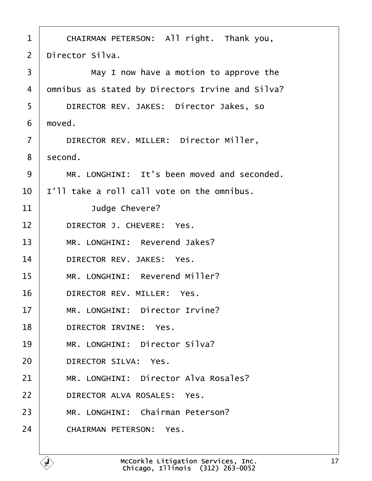| 1              | CHAIRMAN PETERSON: All right. Thank you,         |
|----------------|--------------------------------------------------|
| 2              | Director Silva.                                  |
| 3              | May I now have a motion to approve the           |
| 4              | dmnibus as stated by Directors Irvine and Silva? |
| 5              | DIRECTOR REV. JAKES: Director Jakes, so          |
| 6              | moved.                                           |
| $\overline{7}$ | DIRECTOR REV. MILLER: Director Miller,           |
| 8              | second.                                          |
| 9              | MR. LONGHINI: It's been moved and seconded.      |
| 10             | I'll take a roll call vote on the omnibus.       |
| 11             | Judge Chevere?                                   |
| 12             | DIRECTOR J. CHEVERE: Yes.                        |
| 13             | MR. LONGHINI: Reverend Jakes?                    |
| 14             | DIRECTOR REV. JAKES: Yes.                        |
| 15             | MR. LONGHINI: Reverend Miller?                   |
| 16             | DIRECTOR REV. MILLER: Yes.                       |
| 17             | MR. LONGHINI: Director Irvine?                   |
| 18             | DIRECTOR IRVINE: Yes.                            |
| 19             | MR. LONGHINI: Director Silva?                    |
| 20             | <b>DIRECTOR SILVA: Yes.</b>                      |
| 21             | MR. LONGHINI: Director Alva Rosales?             |
| 22             | DIRECTOR ALVA ROSALES: Yes.                      |
| 23             | MR. LONGHINI: Chairman Peterson?                 |
| 24             | <b>CHAIRMAN PETERSON: Yes.</b>                   |
|                |                                                  |

 $\sqrt{ }$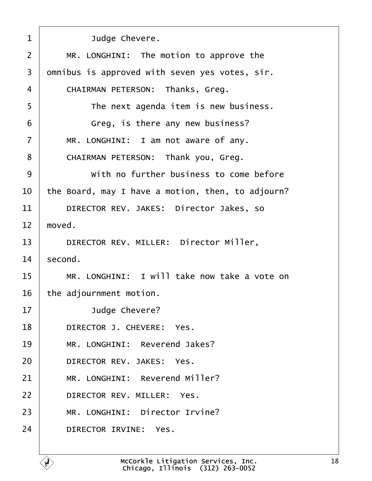| 1  | Judge Chevere.                                    |
|----|---------------------------------------------------|
| 2  | MR. LONGHINI: The motion to approve the           |
| 3  | dmnibus is approved with seven yes votes, sir.    |
| 4  | <b>CHAIRMAN PETERSON: Thanks, Greg.</b>           |
| 5  | The next agenda item is new business.             |
| 6  | Greg, is there any new business?                  |
| 7  | MR. LONGHINI: I am not aware of any.              |
| 8  | CHAIRMAN PETERSON: Thank you, Greg.               |
| 9  | With no further business to come before           |
| 10 | the Board, may I have a motion, then, to adjourn? |
| 11 | DIRECTOR REV. JAKES: Director Jakes, so           |
| 12 | moved.                                            |
| 13 | DIRECTOR REV. MILLER: Director Miller,            |
| 14 | second.                                           |
| 15 | MR. LONGHINI: I will take now take a vote on      |
| 16 | the adjournment motion.                           |
| 17 | Judge Chevere?                                    |
| 18 | DIRECTOR J. CHEVERE: Yes.                         |
| 19 | MR. LONGHINI: Reverend Jakes?                     |
| 20 | DIRECTOR REV. JAKES: Yes.                         |
| 21 | MR. LONGHINI: Reverend Miller?                    |
| 22 | DIRECTOR REV. MILLER: Yes.                        |
| 23 | MR. LONGHINI: Director Irvine?                    |
| 24 | DIRECTOR IRVINE: Yes.                             |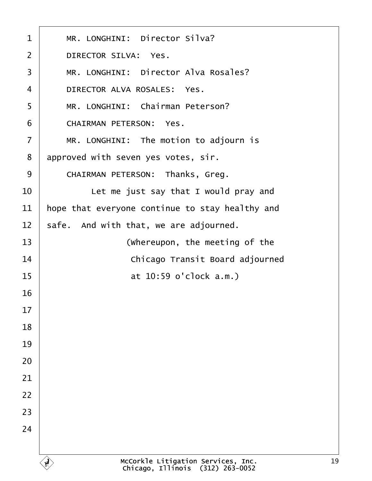| 1              | MR. LONGHINI: Director Silva?                   |
|----------------|-------------------------------------------------|
| $\overline{2}$ | <b>DIRECTOR SILVA: Yes.</b>                     |
| 3              | MR. LONGHINI: Director Alva Rosales?            |
| 4              | DIRECTOR ALVA ROSALES: Yes.                     |
| 5              | MR. LONGHINI: Chairman Peterson?                |
| 6              | <b>CHAIRMAN PETERSON: Yes.</b>                  |
| 7              | MR. LONGHINI: The motion to adjourn is          |
| 8              | approved with seven yes votes, sir.             |
| 9              | <b>CHAIRMAN PETERSON: Thanks, Greg.</b>         |
| 10             | Let me just say that I would pray and           |
| 11             | hope that everyone continue to stay healthy and |
| 12             | safe. And with that, we are adjourned.          |
| 13             | (Whereupon, the meeting of the                  |
| 14             | Chicago Transit Board adjourned                 |
| 15             | at 10:59 o'clock a.m.)                          |
| 16             |                                                 |
| 17             |                                                 |
| 18             |                                                 |
| 19             |                                                 |
| 20             |                                                 |
| 21             |                                                 |
| 22             |                                                 |
| 23             |                                                 |
| 24             |                                                 |
|                |                                                 |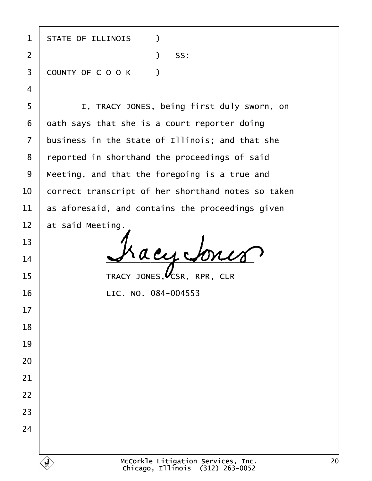| 1              | <b>STATE OF ILLINOIS</b><br>$\lambda$              |
|----------------|----------------------------------------------------|
| $\overline{2}$ | SS:<br>$\mathcal{L}$                               |
| 3              | <b>COUNTY OF COOK</b><br>$\rightarrow$             |
| $\overline{4}$ |                                                    |
| 5              | I, TRACY JONES, being first duly sworn, on         |
| 6              | dath says that she is a court reporter doing       |
| $\overline{7}$ | business in the State of Illinois; and that she    |
| 8              | reported in shorthand the proceedings of said      |
| 9              | Meeting, and that the foregoing is a true and      |
| 10             | correct transcript of her shorthand notes so taken |
| 11             | as aforesaid, and contains the proceedings given   |
| 12             | at said Meeting.                                   |
| 13             |                                                    |
| 14             |                                                    |
| 15             | TRACY JONES, CSR, RPR, CLR                         |
| 16             | LIC. NO. 084-004553                                |
| 17             |                                                    |
| 18             |                                                    |
| 19             |                                                    |
| 20             |                                                    |
| 21             |                                                    |
| 22             |                                                    |
| 23             |                                                    |
| 24             |                                                    |
|                |                                                    |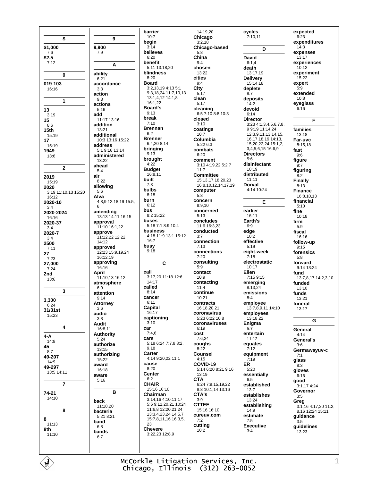\$ \$1,000  $7:6$  $$2.5$  $7:12$  $\bf{0}$ 019-103 16:16  $\mathbf{1}$ 13  $3:19$ 15  $8:6$  $15<sub>th</sub>$ 15:19  $17$ 15:19 1949  $13:6$  $\mathbf 2$ 2019  $15.19$ 2020 3:19 11:10,13 15:20 16:12 2020-10  $3:4$ 2020-2024 16:16 2020-37  $3:4$ 2020-7  $3.4$ 2500  $7:11$ 27  $7:23$ 27,000  $7:24$ 2nd  $13:6$  $\overline{3}$ 3,300  $6:24$ 31/31st 15:23  $\overline{\mathbf{4}}$  $4 - A$  $14:8$ 45  $8:7$ 49-207  $14:9$ 49-297 13:5 14:11  $\bf 7$  $74 - 21$  $14:10$ 8 8  $11:13$ 8th  $11:10$ 

9 9,900  $7:9$ A ability  $6:21$ accordance  $3:3$ action  $9:3$ actions  $5:16$ hha  $11.1713.16$ addition  $13:21$ additional  $10:3$  13:16 15:22 address 5:1 9:16 13:14 administered 13:22 ahead  $5:4$ air  $8:22$ allowing  $5:6$ Alva 4:8,9 12:18,19 15:5, 6 amending 13:13 14:11 16:15 approval 11:10 16:1,22 approve 11:12,22 12:22 14:12 approved 12:23 15:9.19.24  $16:1219$ approving  $16:16$ **April** 11:10,13 16:12 atmosphere  $6:9$ attention  $9:14$ **Attorney**  $3:6$ audio  $3:8$ **Audit** 16:8,11 Authority  $5.24$ authorize 13:15 authorizing  $15:22$ award  $16.18$ aware  $5:16$ **B** hack 11:18.20 bacteria 5:21 8:21 band  $6.8$ bands  $6:7$ 

barrier  $10:7$ beain  $3.14$ helieves  $6.20$ benefit 5:11 13:18,20 blindness  $8.20$ **Board** 3:2,13,19 4:13 5:1 9:3,18,24 11:7,10,13 13:1,4,12 14:1,8  $16.122$ **Board's**  $9.13$ break  $7:10$ **Brennan**  $6.2$ **Brenner** 6:4,208:14 bringing  $9:13$ brought  $4.22$ **Budget**  $16:8,11$ built  $7:3$ **hulbs**  $8.18$ burn  $6:12$ bus 8:2 15:22 **buses** 5:18 7:1 8:9 10:4 business 4:18 11:9 13:1 15:12  $16:7$ busy  $9.18$ C call 3:17,20 11:18 12:6  $14.17$ called  $8:14$ cancer  $6.11$ Capital 16:17 captioning  $3.10$ car  $7:4,6$ cars 5:18 6:24 7:7,8 8:2, 9.18 Carter 4:14 9:20,22 11:1 cause  $8:20$ **Center**  $6:2$ **CHAIR** 15:16 16:10 Chairman 3:14,16 4:10,11,17 5:6 9:11,20,21 10:24 11:6.8 12:20.21.24 13:3.4.23.24 14:5.7 15:7.8.11.16 16:3.5. 23 **Chevere** 3:22,23 12:8,9

14:19.20 Chicago  $3.218$ Chicago-based  $5.8$ China  $9.4$ chosen  $13.22$ cities  $9:4$ City  $5:17$ clean  $5:17$ cleaning 6:5 7:10 8:8 10:3 closed  $3:10$ coatings  $10:7$ Columbia 5:22 6:3 combats  $6.20$ comment 3:10 4:19,22 5:2,7  $11:7$ **Committee** 15:13 17 18 20 23 16:8,10,12,14,17,19 computer  $5:8$ concern  $8:9.10$ concerned  $5.13$ concludes 11:6 16:3,23 conducted  $3.7$ connection  $7:13$ connections  $7:20$ consulting  $5:9$ contact  $10:9$ contacting  $11:4$ continue  $10.21$ contracts 16:18,20,21 coronavirus  $5:236:2210:8$ coronaviruses  $6:19$ cost  $7:6,24$ coughs  $8.22$ Counsel  $4:15$ COVID-19  $5:146:208:219:16$  $13.19$ **CTA** 6:24 7:9,15,19,22 8:8 10:1,14 13:16 CTA's  $3.9$ **CTTEE**  $15:16.16:10$ cureuv.com  $7:2$ cutting  $10.2$ 

cycles  $7:10,11$  $\overline{D}$ **David**  $6:1.4$ death  $13.1719$ **Delivery** 15:14,18 deplete  $8.7$ deposits  $14.2$ devoid  $6:14$ **Director** 3:23 4:1,3,4,5,6.7.8. 9919111424 12:3.9.11.13.14.15. 16, 17, 18, 19 14: 13, 15,20,22,24 15:1,2, 3,4,5,6,15 16:6,9 **Directors**  $5:6$ disinfectant  $10.19$ distributed  $11:11$ **Dorval**  $4:14$  10:24 E earlier  $16:11$ Earth's  $6:9$ edge  $10.2$ effective  $5:19$ eight-week  $7:18$ electrostatic  $10:17$ **Fllen** 7:15 9:15 emerging 8:13.24 emissions  $8.4$ employee 13:7,8,9,11 14:10 employees  $13.18.22$ Enigma  $5:7$ entertain  $11:12$ equates  $7.12$ equipment  $7:19$ **ER**  $5:20$ essentially  $6:5$ established  $13:7$ establishes  $13.24$ establishing  $14.9$ estimate  $7.5$ **Executive**  $3:4$ 

expected  $6:23$ expenditures  $14.3$ expenses  $13.17$ experiences  $10:12$ experiment  $15.22$ expert  $5.9$ extended  $10:8$ eyeglass  $6:16$ F families 13:18 Far-uvc 8:15.18 fast  $9:6$ figure  $9:7$ figuring  $8.2$ **Finally**  $8:13$ **Finance** 16:8,10,13 financial  $5.10$ fine 10:18 firm  $5.9$ fiscal 16:16 follow-up  $9:15$ forensics  $5.8$ forward 9:14 13:24 fund 13:7,8,17 14:2,3,10 funded  $13:10$ funds 13:21 funeral  $13.17$ G General  $4.14$ General's  $3:6$ Germawavuv-c  $7.1$ glass  $8:3$ gloves 6:16 good 3:1,17 4:24 Governor  $3.5$ Grea 3:1,16 4:17,20 11:2,<br>8,16 12:24 15:11 guidance  $3:5$ guidelines 13:23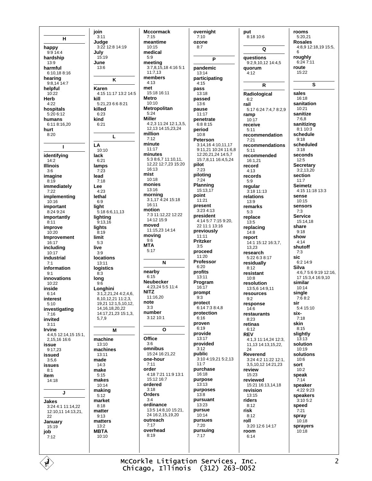$H$ happy 9:9 14:4 hardship  $13.9$ harmful 6:10.18 8:16 hearing  $9:8,14$  14:7 helpful  $10.22$ Herb  $4.22$ hospitals 5:20 6:12 humans  $6.118.1620$ hurt  $8:20$  $\blacksquare$ identifying  $14:2$ **Illinois**  $3:6$ imagine  $8:19$ immediately  $7:22$ implementing  $10:16$ important 8:24 9:24 importantly  $8:11$ improve  $10:20$ Improvement  $16.17$ including  $10.17$ industrial  $7.1$ information  $Q·1$ innovations 10:22 inside  $6:14$ interest  $5:10$ investigating  $7:16$ invited  $3:11$ Irvine 4:4,5 12:14,15 15:1, 2,15,16 16:6 issue  $9:17,23$ issued  $3:56$ issues  $8:1$ item  $14.18$  $\mathbf{J}$ Jakes 3:24 4:1 11:14,22 12:10,11 14:13,21, 22 January 15:19 job  $7:12$ 

join  $3:11$ Judae 3:22 12:8 14:19 July  $15:19$ June 13:6 K Karen 4:15 11:17 13:2 14:5 kill  $5.21, 23.66.821$ killed  $6:23$ kind  $6.21$  $\mathbf{L}$ LA 10:10 lack  $6:21$ lamps  $7:23$ lead  $7:18$ Lee  $4:23$ lethal  $6:9$ light 5:18 6:6,11,13 lighting  $9:13.16$ lights  $8:19$ limit  $5.3$ live  $3.9$ **locations**  $13:11$ logistics  $8.3$ long  $9:6$ Longhini  $3:1,2,21,24$  4:2,4,6, 8.10.12.21 11:2.3. 19.21 12:1.5.10.12. 14.16.18.20.22 14:17.21.23 15:1.3. 5.7.9 M machine  $13:10$ machines 13:11 made  $14.3$ make  $5:15$ makes 10:14 making  $5:12$ market  $8:18$ matter  $9:13$ matters  $13:2$ **MBTA**  $10:10$ 

**Mccormack**  $7:15$ meantime  $10.15$ medical  $5.9$ meeting 3:7,8,15,18 4:16 5:1  $11.713$ members  $4.13$ met 15:18 16:11 **Metro**  $10.10$ Metropolitan  $5.24$ **Miller** 4:2,3 11:24 12:1,3,5, 12,13 14:15,23,24 million  $7.12$ minute  $11:17$ minutes 5:3 8:6.7 11:10.11. 12 22 12 7 23 15 20 16:13 mist  $10:18$ monies  $13:16$ mornina 3:1,17 4:24 15:18  $16:11$ motion 7:3 11:12,22 12:22 14:12 15:9 moved 11:15,23 14:14 moving  $9:6$ **MTA**  $5:17$ N nearby  $6.15$ **Neubecker** 4:23,24 5:5 11:4 **NITZ** 11:16.20 note  $3.3$ number 3:12 10:1  $\mathbf{o}$ Office  $3:6$ omnibus 15:24 16:21.22 one-hour  $7:11$ order  $4:18$  7:21 11:9 13:1  $15:12.16:7$ ordered  $3:18$ Orders  $3.4$ ordinance 13:5 14:8.10 15:21. 24 16:2.15.19.20 outreach  $7:17$ overhead  $8.19$ 

overnight  $7:10$ ozone  $8.7$ P pandemic 13:14 participating  $4:15$ pass  $13.18$ passed  $13.6$ pause  $11:17$ penetrate  $6.8.8.15$ period  $10:8$ Peterson 3:14,16 4:10,11,17  $9:11.21$  10:24 11:6.8 12:20.21.24 14:5.7 15:7,8,11 16:4,5,24 pilot  $7:23$ piloting  $7:24$ Planning 15:13.17 point  $11:21$ present  $3.234.13$ president 4:14 5:7 7:15 9:20. 22 11:1 13:16 previously  $11:11$ **Pritzker**  $3.5$ proceed 11:20 Professor  $6.20$ profits 13:11 Program  $16:17$ prompt  $9:3$ protect 6:14 7:3 8:4,8 protection  $6:16$ proven  $6:19$ provide 13:17 provided  $3.12$ public 3:10 4:19,21 5:2,13  $11:7$ purchase 16:18 purpose  $13:13$ purposes  $13:8$ pursuant  $13.23$ pursue 10:14 pursues  $7:20$ pursuing  $7:17$ 

put 8:18 10:6  $\Omega$ questions  $9:2,9,10,12$  14:4,5 **auorum**  $4.12$  $\mathsf{R}$ Radiological  $6:2$ rail 5:17 6:24 7:4,7 8:2,9 ramp  $10.17$ receive  $5:11$ recommendation  $7.21$ recommendations  $5:11$ recommended 16:1,21 record  $4:13$ records  $5:9$ regular 3:18 11:13 relations 13:9 remarks  $5:3$ replace  $13:5$ replacing  $14:8$ report 14:1 15:12 16:3.7. 13.23 research 5:22 6:3 8:17 residually  $8:12$ resistant  $10.8$ resolution 13:5,6 14:9,11 resources  $9:2$ response  $14.6$ restaurants 8:23 retinas  $6:12$ **REV** 4:1,3 11:14,24 12:3, 11, 13 14: 13, 15, 22,  $24$ Reverend 3:24 4:2 11:22 12:1. 3,5,10,12 14:21,23 review  $15:23$ reviewed 15:21 16:13,14,18 revision  $13.15$ riders  $8:12$ risk  $8:12$ roll 3:20 12:6 14:17 room  $6.14$ 

rooms  $5:20.21$ **Rosales** 4:8,9 12:18,19 15:5, 6 roughly  $6:247:11$ route 15:22 S sales 16:18 sanitation 10:21 sanitize  $7:6.8$ sanitizing  $8.110.3$ schedule  $9:18$ scheduled  $3.18$ seconds  $12:5$ **Secretary**  $3:2,13,20$ section  $11.7$ **Seimetz** 4:15 11:18 13:3 sense  $10:15$ sensors  $7.3$ **Service** 15:14.18 share  $9.18$ show  $4:14$ shutoff  $7:3$ sic  $6.214.9$ Silva 4:6,7 5:6 9:19 12:16. 17 15:3,4 16:9,10 similar  $10.14$ single  $7:68:2$ sir 5:4 15:10 six- $7:18$ skin  $8:15$ slightly  $13.13$ solution  $10.19$ solutions  $10:6$ sort  $10.2$ speak  $7:14$ speaker  $4.2299.23$ speakers  $3:10.5:2$ speed  $7:21$ spray  $10.18$ sprayers 10:18